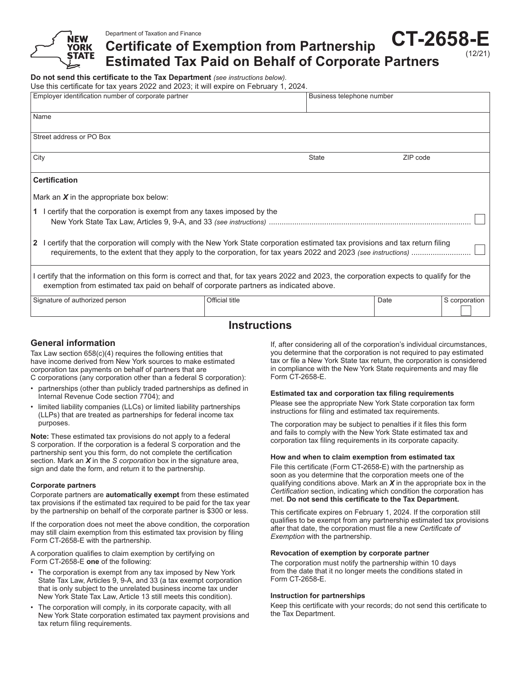**Certificate of Exemption from Partnership CT-2658-E**

**Estimated Tax Paid on Behalf of Corporate Partners**

**Do not send this certificate to the Tax Department** *(see instructions below).*

Use this certificate for tax years 2022 and 2023; it will expire on February 1, 2024.

| Employer identification number of corporate partner                                                                                                                                                                               |                | Business telephone number |          |               |
|-----------------------------------------------------------------------------------------------------------------------------------------------------------------------------------------------------------------------------------|----------------|---------------------------|----------|---------------|
| Name                                                                                                                                                                                                                              |                |                           |          |               |
| Street address or PO Box                                                                                                                                                                                                          |                |                           |          |               |
| City                                                                                                                                                                                                                              |                | <b>State</b>              | ZIP code |               |
| <b>Certification</b>                                                                                                                                                                                                              |                |                           |          |               |
| Mark an $X$ in the appropriate box below:                                                                                                                                                                                         |                |                           |          |               |
| 1 I certify that the corporation is exempt from any taxes imposed by the                                                                                                                                                          |                |                           |          |               |
| I certify that the corporation will comply with the New York State corporation estimated tax provisions and tax return filing<br>$\overline{2}$                                                                                   |                |                           |          |               |
| I certify that the information on this form is correct and that, for tax years 2022 and 2023, the corporation expects to qualify for the<br>exemption from estimated tax paid on behalf of corporate partners as indicated above. |                |                           |          |               |
| Signature of authorized person                                                                                                                                                                                                    | Official title |                           | Date     | S corporation |

# **Instructions**

### **General information**

Tax Law section 658(c)(4) requires the following entities that have income derived from New York sources to make estimated corporation tax payments on behalf of partners that are C corporations (any corporation other than a federal S corporation):

- partnerships (other than publicly traded partnerships as defined in Internal Revenue Code section 7704); and
- limited liability companies (LLCs) or limited liability partnerships (LLPs) that are treated as partnerships for federal income tax purposes.

**Note:** These estimated tax provisions do not apply to a federal S corporation. If the corporation is a federal S corporation and the partnership sent you this form, do not complete the certification section. Mark an *X* in the *S corporation* box in the signature area, sign and date the form, and return it to the partnership.

#### **Corporate partners**

Corporate partners are **automatically exempt** from these estimated tax provisions if the estimated tax required to be paid for the tax year by the partnership on behalf of the corporate partner is \$300 or less.

If the corporation does not meet the above condition, the corporation may still claim exemption from this estimated tax provision by filing Form CT-2658-E with the partnership.

A corporation qualifies to claim exemption by certifying on Form CT-2658-E **one** of the following:

- The corporation is exempt from any tax imposed by New York State Tax Law, Articles 9, 9-A, and 33 (a tax exempt corporation that is only subject to the unrelated business income tax under New York State Tax Law, Article 13 still meets this condition).
- The corporation will comply, in its corporate capacity, with all New York State corporation estimated tax payment provisions and tax return filing requirements.

If, after considering all of the corporation's individual circumstances, you determine that the corporation is not required to pay estimated tax or file a New York State tax return, the corporation is considered in compliance with the New York State requirements and may file Form CT-2658-E.

(12/21)

#### **Estimated tax and corporation tax filing requirements**

Please see the appropriate New York State corporation tax form instructions for filing and estimated tax requirements.

The corporation may be subject to penalties if it files this form and fails to comply with the New York State estimated tax and corporation tax filing requirements in its corporate capacity.

#### **How and when to claim exemption from estimated tax**

File this certificate (Form CT-2658-E) with the partnership as soon as you determine that the corporation meets one of the qualifying conditions above. Mark an *X* in the appropriate box in the *Certification* section, indicating which condition the corporation has met. **Do not send this certificate to the Tax Department.**

This certificate expires on February 1, 2024. If the corporation still qualifies to be exempt from any partnership estimated tax provisions after that date, the corporation must file a new *Certificate of Exemption* with the partnership.

#### **Revocation of exemption by corporate partner**

The corporation must notify the partnership within 10 days from the date that it no longer meets the conditions stated in Form CT‑2658‑E.

#### **Instruction for partnerships**

Keep this certificate with your records; do not send this certificate to the Tax Department.